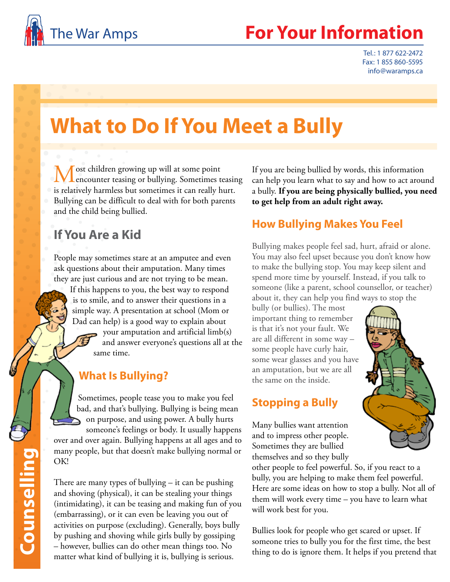

## The War Amps **For Your Information**

Tel.: 1 877 622-2472 Fax: 1 855 860-5595 info@waramps.ca

# **What to Do If You Meet a Bully**

ost children growing up will at some point **Lencounter teasing or bullying. Sometimes teasing** is relatively harmless but sometimes it can really hurt. Bullying can be difficult to deal with for both parents and the child being bullied.

## **If You Are a Kid**

People may sometimes stare at an amputee and even ask questions about their amputation. Many times they are just curious and are not trying to be mean.

If this happens to you, the best way to respond is to smile, and to answer their questions in a simple way. A presentation at school (Mom or Dad can help) is a good way to explain about

> your amputation and artificial  $limb(s)$ and answer everyone's questions all at the same time.

#### **What Is Bullying?**

Sometimes, people tease you to make you feel bad, and that's bullying. Bullying is being mean on purpose, and using power. A bully hurts someone's feelings or body. It usually happens over and over again. Bullying happens at all ages and to many people, but that doesn't make bullying normal or OK!

There are many types of bullying – it can be pushing and shoving (physical), it can be stealing your things (intimidating), it can be teasing and making fun of you (embarrassing), or it can even be leaving you out of activities on purpose (excluding). Generally, boys bully by pushing and shoving while girls bully by gossiping – however, bullies can do other mean things too. No matter what kind of bullying it is, bullying is serious.

If you are being bullied by words, this information can help you learn what to say and how to act around a bully. **If you are being physically bullied, you need to get help from an adult right away.**

#### **How Bullying Makes You Feel**

Bullying makes people feel sad, hurt, afraid or alone. You may also feel upset because you don't know how to make the bullying stop. You may keep silent and spend more time by yourself. Instead, if you talk to someone (like a parent, school counsellor, or teacher) about it, they can help you find ways to stop the

bully (or bullies). The most important thing to remember is that it's not your fault. We are all different in some way – some people have curly hair, some wear glasses and you have an amputation, but we are all the same on the inside.

#### **Stopping a Bully**

Many bullies want attention and to impress other people. Sometimes they are bullied themselves and so they bully

other people to feel powerful. So, if you react to a bully, you are helping to make them feel powerful. Here are some ideas on how to stop a bully. Not all of them will work every time – you have to learn what will work best for you.

Bullies look for people who get scared or upset. If someone tries to bully you for the first time, the best thing to do is ignore them. It helps if you pretend that

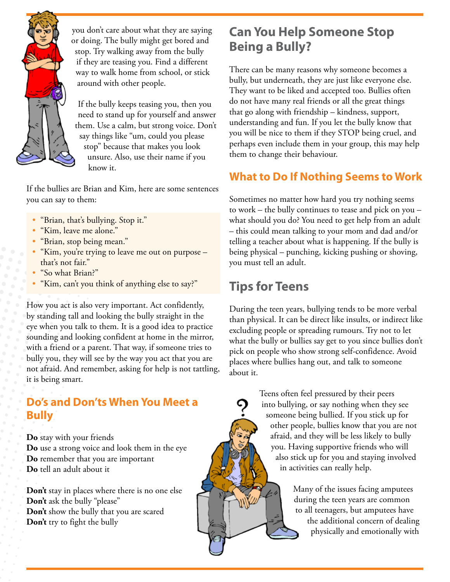

you don't care about what they are saying or doing. The bully might get bored and stop. Try walking away from the bully if they are teasing you. Find a different way to walk home from school, or stick around with other people.

If the bully keeps teasing you, then you need to stand up for yourself and answer them. Use a calm, but strong voice. Don't say things like "um, could you please stop" because that makes you look unsure. Also, use their name if you know it.

If the bullies are Brian and Kim, here are some sentences you can say to them:

- "Brian, that's bullying. Stop it."
- "Kim, leave me alone."
- "Brian, stop being mean."
- "Kim, you're trying to leave me out on purpose that's not fair."
- "So what Brian?"
- "Kim, can't you think of anything else to say?"

How you act is also very important. Act confidently, by standing tall and looking the bully straight in the eye when you talk to them. It is a good idea to practice sounding and looking confident at home in the mirror, with a friend or a parent. That way, if someone tries to bully you, they will see by the way you act that you are not afraid. And remember, asking for help is not tattling, it is being smart.

#### **Do's and Don'ts When You Meet a Bully**

**Do** stay with your friends **Do** use a strong voice and look them in the eye **Do** remember that you are important **Do** tell an adult about it

**Don't** stay in places where there is no one else **Don't** ask the bully "please" **Don't** show the bully that you are scared **Don't** try to fight the bully

## **Can You Help Someone Stop Being a Bully?**

There can be many reasons why someone becomes a bully, but underneath, they are just like everyone else. They want to be liked and accepted too. Bullies often do not have many real friends or all the great things that go along with friendship – kindness, support, understanding and fun. If you let the bully know that you will be nice to them if they STOP being cruel, and perhaps even include them in your group, this may help them to change their behaviour.

#### **What to Do If Nothing Seems to Work**

Sometimes no matter how hard you try nothing seems to work – the bully continues to tease and pick on you – what should you do? You need to get help from an adult – this could mean talking to your mom and dad and/or telling a teacher about what is happening. If the bully is being physical – punching, kicking pushing or shoving, you must tell an adult.

## **Tips for Teens**

During the teen years, bullying tends to be more verbal than physical. It can be direct like insults, or indirect like excluding people or spreading rumours. Try not to let what the bully or bullies say get to you since bullies don't pick on people who show strong self-confidence. Avoid places where bullies hang out, and talk to someone about it.

> Teens often feel pressured by their peers into bullying, or say nothing when they see someone being bullied. If you stick up for other people, bullies know that you are not afraid, and they will be less likely to bully you. Having supportive friends who will also stick up for you and staying involved in activities can really help.

> > Many of the issues facing amputees during the teen years are common to all teenagers, but amputees have the additional concern of dealing physically and emotionally with